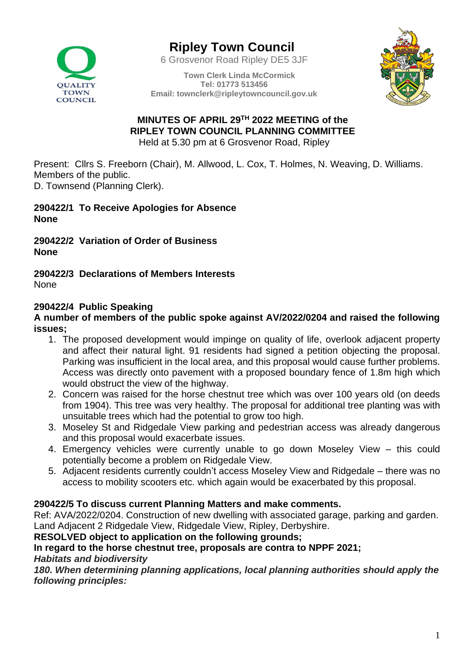

# **Ripley Town Council**

6 Grosvenor Road Ripley DE5 3JF

**Town Clerk Linda McCormick Tel: 01773 513456 Email: townclerk@ripleytowncouncil.gov.uk**



#### **MINUTES OF APRIL 29TH 2022 MEETING of the RIPLEY TOWN COUNCIL PLANNING COMMITTEE** Held at 5.30 pm at 6 Grosvenor Road, Ripley

Present: Cllrs S. Freeborn (Chair), M. Allwood, L. Cox, T. Holmes, N. Weaving, D. Williams. Members of the public.

D. Townsend (Planning Clerk).

#### **290422/1 To Receive Apologies for Absence None**

**290422/2 Variation of Order of Business None**

**290422/3 Declarations of Members Interests** None

# **290422/4 Public Speaking**

#### **A number of members of the public spoke against AV/2022/0204 and raised the following issues;**

- 1. The proposed development would impinge on quality of life, overlook adjacent property and affect their natural light. 91 residents had signed a petition objecting the proposal. Parking was insufficient in the local area, and this proposal would cause further problems. Access was directly onto pavement with a proposed boundary fence of 1.8m high which would obstruct the view of the highway.
- 2. Concern was raised for the horse chestnut tree which was over 100 years old (on deeds from 1904). This tree was very healthy. The proposal for additional tree planting was with unsuitable trees which had the potential to grow too high.
- 3. Moseley St and Ridgedale View parking and pedestrian access was already dangerous and this proposal would exacerbate issues.
- 4. Emergency vehicles were currently unable to go down Moseley View this could potentially become a problem on Ridgedale View.
- 5. Adjacent residents currently couldn't access Moseley View and Ridgedale there was no access to mobility scooters etc. which again would be exacerbated by this proposal.

## **290422/5 To discuss current Planning Matters and make comments.**

Ref: AVA/2022/0204. Construction of new dwelling with associated garage, parking and garden. Land Adjacent 2 Ridgedale View, Ridgedale View, Ripley, Derbyshire.

#### **RESOLVED object to application on the following grounds;**

## **In regard to the horse chestnut tree, proposals are contra to NPPF 2021;**

*Habitats and biodiversity* 

*180. When determining planning applications, local planning authorities should apply the following principles:*